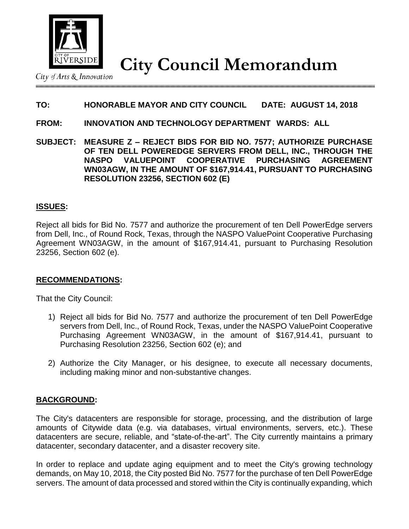

**City Council Memorandum**

City of Arts & Innovation

# **TO: HONORABLE MAYOR AND CITY COUNCIL DATE: AUGUST 14, 2018**

#### **FROM: INNOVATION AND TECHNOLOGY DEPARTMENT WARDS: ALL**

**SUBJECT: MEASURE Z – REJECT BIDS FOR BID NO. 7577; AUTHORIZE PURCHASE OF TEN DELL POWEREDGE SERVERS FROM DELL, INC., THROUGH THE NASPO VALUEPOINT COOPERATIVE PURCHASING AGREEMENT WN03AGW, IN THE AMOUNT OF \$167,914.41, PURSUANT TO PURCHASING RESOLUTION 23256, SECTION 602 (E)**

### **ISSUES:**

Reject all bids for Bid No. 7577 and authorize the procurement of ten Dell PowerEdge servers from Dell, Inc., of Round Rock, Texas, through the NASPO ValuePoint Cooperative Purchasing Agreement WN03AGW, in the amount of \$167,914.41, pursuant to Purchasing Resolution 23256, Section 602 (e).

## **RECOMMENDATIONS:**

That the City Council:

- 1) Reject all bids for Bid No. 7577 and authorize the procurement of ten Dell PowerEdge servers from Dell, Inc., of Round Rock, Texas, under the NASPO ValuePoint Cooperative Purchasing Agreement WN03AGW, in the amount of \$167,914.41, pursuant to Purchasing Resolution 23256, Section 602 (e); and
- 2) Authorize the City Manager, or his designee, to execute all necessary documents, including making minor and non-substantive changes.

## **BACKGROUND:**

The City's datacenters are responsible for storage, processing, and the distribution of large amounts of Citywide data (e.g. via databases, virtual environments, servers, etc.). These datacenters are secure, reliable, and "state-of-the-art". The City currently maintains a primary datacenter, secondary datacenter, and a disaster recovery site.

In order to replace and update aging equipment and to meet the City's growing technology demands, on May 10, 2018, the City posted Bid No. 7577 for the purchase of ten Dell PowerEdge servers. The amount of data processed and stored within the City is continually expanding, which